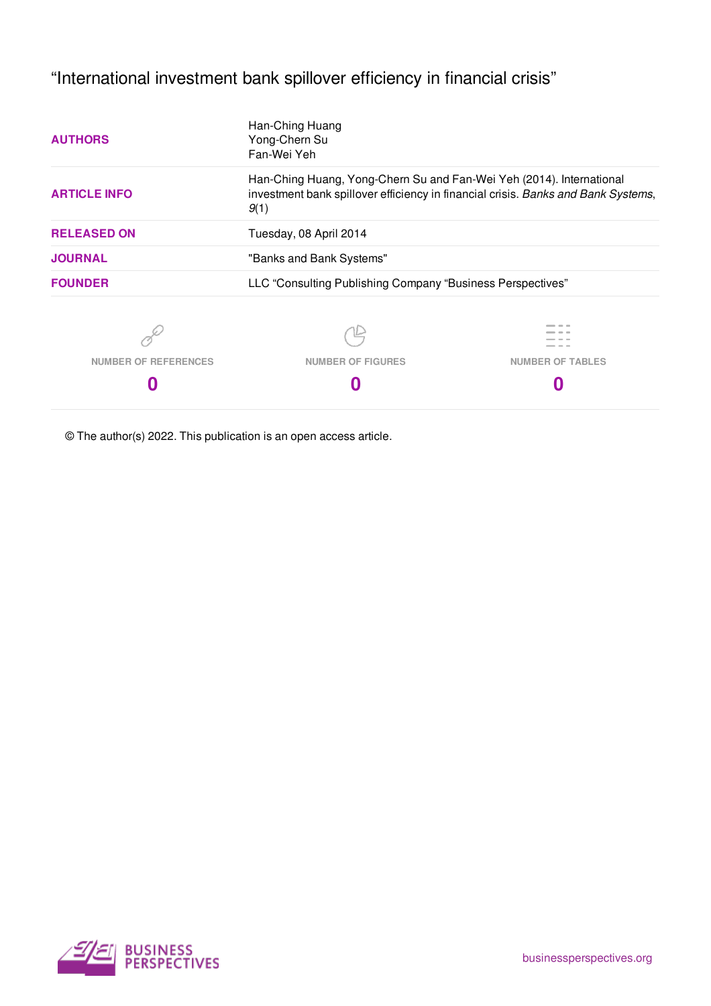"International investment bank spillover efficiency in financial crisis"

| Han-Ching Huang<br>Yong-Chern Su<br>Fan-Wei Yeh                                                                                                                   |                         |  |  |
|-------------------------------------------------------------------------------------------------------------------------------------------------------------------|-------------------------|--|--|
| Han-Ching Huang, Yong-Chern Su and Fan-Wei Yeh (2014). International<br>investment bank spillover efficiency in financial crisis. Banks and Bank Systems,<br>9(1) |                         |  |  |
| Tuesday, 08 April 2014                                                                                                                                            |                         |  |  |
| "Banks and Bank Systems"                                                                                                                                          |                         |  |  |
| LLC "Consulting Publishing Company "Business Perspectives"                                                                                                        |                         |  |  |
|                                                                                                                                                                   |                         |  |  |
| <b>NUMBER OF FIGURES</b>                                                                                                                                          | <b>NUMBER OF TABLES</b> |  |  |
|                                                                                                                                                                   |                         |  |  |
|                                                                                                                                                                   |                         |  |  |

© The author(s) 2022. This publication is an open access article.

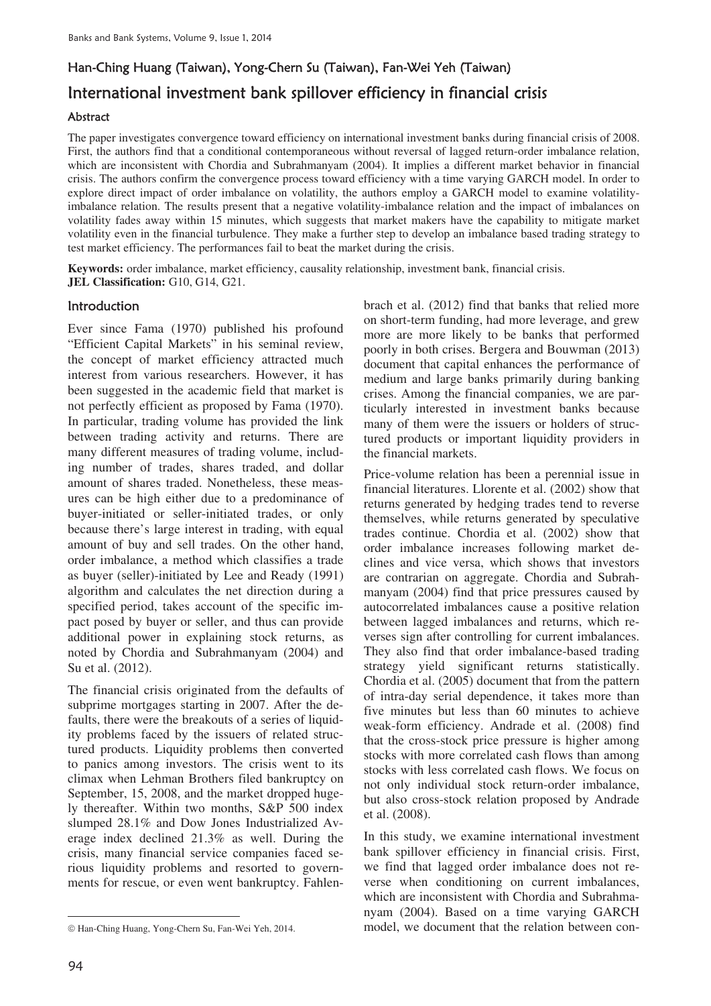# Han-Ching Huang (Taiwan), Yong-Chern Su (Taiwan), Fan-Wei Yeh (Taiwan) International investment bank spillover efficiency in financial crisis

## Abstract

The paper investigates convergence toward efficiency on international investment banks during financial crisis of 2008. First, the authors find that a conditional contemporaneous without reversal of lagged return-order imbalance relation, which are inconsistent with Chordia and Subrahmanyam (2004). It implies a different market behavior in financial crisis. The authors confirm the convergence process toward efficiency with a time varying GARCH model. In order to explore direct impact of order imbalance on volatility, the authors employ a GARCH model to examine volatilityimbalance relation. The results present that a negative volatility-imbalance relation and the impact of imbalances on volatility fades away within 15 minutes, which suggests that market makers have the capability to mitigate market volatility even in the financial turbulence. They make a further step to develop an imbalance based trading strategy to test market efficiency. The performances fail to beat the market during the crisis.

**Keywords:** order imbalance, market efficiency, causality relationship, investment bank, financial crisis. **JEL Classification:** G10, G14, G21.

# **Introduction**

Ever since Fama (1970) published his profound "Efficient Capital Markets" in his seminal review, the concept of market efficiency attracted much interest from various researchers. However, it has been suggested in the academic field that market is not perfectly efficient as proposed by Fama (1970). In particular, trading volume has provided the link between trading activity and returns. There are many different measures of trading volume, including number of trades, shares traded, and dollar amount of shares traded. Nonetheless, these measures can be high either due to a predominance of buyer-initiated or seller-initiated trades, or only because there's large interest in trading, with equal amount of buy and sell trades. On the other hand, order imbalance, a method which classifies a trade as buyer (seller)-initiated by Lee and Ready (1991) algorithm and calculates the net direction during a specified period, takes account of the specific impact posed by buyer or seller, and thus can provide additional power in explaining stock returns, as noted by Chordia and Subrahmanyam (2004) and Su et al. (2012).

The financial crisis originated from the defaults of subprime mortgages starting in 2007. After the defaults, there were the breakouts of a series of liquidity problems faced by the issuers of related structured products. Liquidity problems then converted to panics among investors. The crisis went to its climax when Lehman Brothers filed bankruptcy on September, 15, 2008, and the market dropped hugely thereafter. Within two months, S&P 500 index slumped 28.1% and Dow Jones Industrialized Average index declined 21.3% as well. During the crisis, many financial service companies faced serious liquidity problems and resorted to governments for rescue, or even went bankruptcy. Fahlenbrach et al. (2012) find that banks that relied more on short-term funding, had more leverage, and grew more are more likely to be banks that performed poorly in both crises. Bergera and Bouwman (2013) document that capital enhances the performance of medium and large banks primarily during banking crises. Among the financial companies, we are particularly interested in investment banks because many of them were the issuers or holders of structured products or important liquidity providers in the financial markets.

Price-volume relation has been a perennial issue in financial literatures. Llorente et al. (2002) show that returns generated by hedging trades tend to reverse themselves, while returns generated by speculative trades continue. Chordia et al. (2002) show that order imbalance increases following market declines and vice versa, which shows that investors are contrarian on aggregate. Chordia and Subrahmanyam (2004) find that price pressures caused by autocorrelated imbalances cause a positive relation between lagged imbalances and returns, which reverses sign after controlling for current imbalances. They also find that order imbalance-based trading strategy yield significant returns statistically. Chordia et al. (2005) document that from the pattern of intra-day serial dependence, it takes more than five minutes but less than 60 minutes to achieve weak-form efficiency. Andrade et al. (2008) find that the cross-stock price pressure is higher among stocks with more correlated cash flows than among stocks with less correlated cash flows. We focus on not only individual stock return-order imbalance, but also cross-stock relation proposed by Andrade et al. (2008).

In this study, we examine international investment bank spillover efficiency in financial crisis. First, we find that lagged order imbalance does not reverse when conditioning on current imbalances, which are inconsistent with Chordia and Subrahmanyam (2004). Based on a time varying GARCH model, we document that the relation between con-

 $\overline{a}$  $© Han-Ching Huang, Yong-Chern Su, Fan-Wei Yeh, 2014.$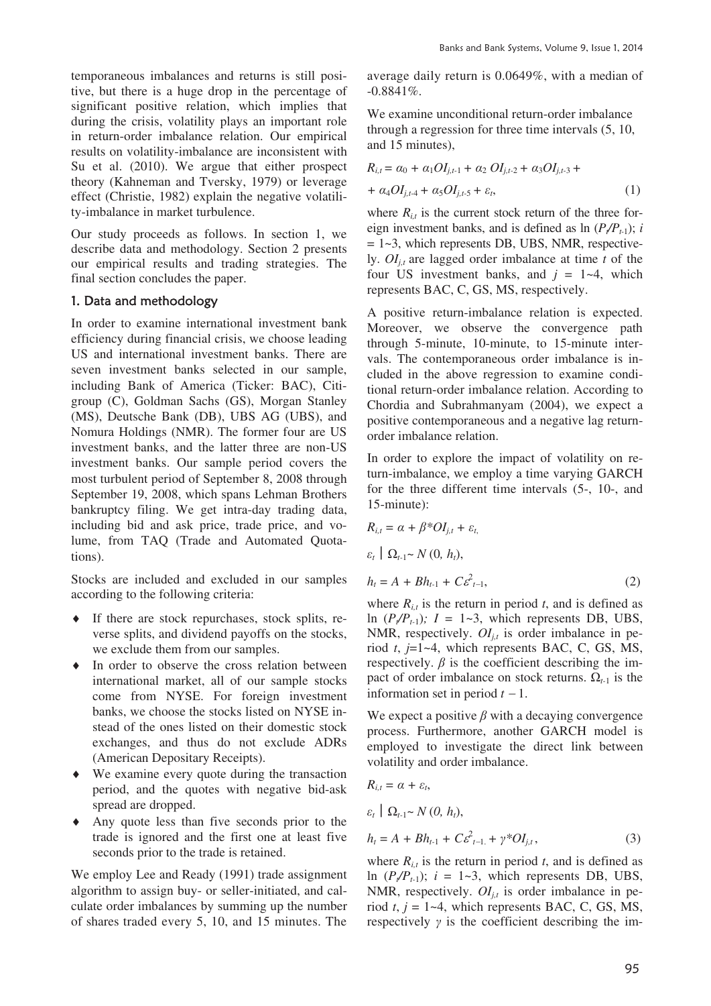temporaneous imbalances and returns is still positive, but there is a huge drop in the percentage of significant positive relation, which implies that during the crisis, volatility plays an important role in return-order imbalance relation. Our empirical results on volatility-imbalance are inconsistent with Su et al. (2010). We argue that either prospect theory (Kahneman and Tversky, 1979) or leverage effect (Christie, 1982) explain the negative volatility-imbalance in market turbulence.

Our study proceeds as follows. In section 1, we describe data and methodology. Section 2 presents our empirical results and trading strategies. The final section concludes the paper.

#### 1. Data and methodology

In order to examine international investment bank efficiency during financial crisis, we choose leading US and international investment banks. There are seven investment banks selected in our sample, including Bank of America (Ticker: BAC), Citigroup (C), Goldman Sachs (GS), Morgan Stanley (MS), Deutsche Bank (DB), UBS AG (UBS), and Nomura Holdings (NMR). The former four are US investment banks, and the latter three are non-US investment banks. Our sample period covers the most turbulent period of September 8, 2008 through September 19, 2008, which spans Lehman Brothers bankruptcy filing. We get intra-day trading data, including bid and ask price, trade price, and volume, from TAQ (Trade and Automated Quotations).

Stocks are included and excluded in our samples according to the following criteria:

- $\bullet$  If there are stock repurchases, stock splits, reverse splits, and dividend payoffs on the stocks, we exclude them from our samples.
- $\bullet$  In order to observe the cross relation between international market, all of our sample stocks come from NYSE. For foreign investment banks, we choose the stocks listed on NYSE instead of the ones listed on their domestic stock exchanges, and thus do not exclude ADRs (American Depositary Receipts).
- $\bullet$  We examine every quote during the transaction period, and the quotes with negative bid-ask spread are dropped.
- Any quote less than five seconds prior to the trade is ignored and the first one at least five seconds prior to the trade is retained.

We employ Lee and Ready (1991) trade assignment algorithm to assign buy- or seller-initiated, and calculate order imbalances by summing up the number of shares traded every 5, 10, and 15 minutes. The average daily return is 0.0649%, with a median of -0.8841%.

We examine unconditional return-order imbalance through a regression for three time intervals (5, 10, and 15 minutes),

$$
R_{i,t} = \alpha_0 + \alpha_1 O I_{j,t-1} + \alpha_2 O I_{j,t-2} + \alpha_3 O I_{j,t-3} +
$$
  
+  $\alpha_4 O I_{j,t-4} + \alpha_5 O I_{j,t-5} + \varepsilon_t,$  (1)

where  $R_{i,t}$  is the current stock return of the three foreign investment banks, and is defined as  $\ln (P/P_{t-1})$ ; *i*  $= 1 - 3$ , which represents DB, UBS, NMR, respectively.  $OI_{i,t}$  are lagged order imbalance at time *t* of the four US investment banks, and  $j = 1-4$ , which represents BAC, C, GS, MS, respectively.

A positive return-imbalance relation is expected. Moreover, we observe the convergence path through 5-minute, 10-minute, to 15-minute intervals. The contemporaneous order imbalance is included in the above regression to examine conditional return-order imbalance relation. According to Chordia and Subrahmanyam (2004), we expect a positive contemporaneous and a negative lag returnorder imbalance relation.

In order to explore the impact of volatility on return-imbalance, we employ a time varying GARCH for the three different time intervals (5-, 10-, and 15-minute):

$$
R_{i,t} = \alpha + \beta^* O I_{j,t} + \varepsilon_t,
$$
  
\n
$$
\varepsilon_t \mid \Omega_{t-1} \sim N(0, h_t),
$$
  
\n
$$
h_t = A + Bh_{t-1} + C \varepsilon_{t-1}^2,
$$
\n(2)

where  $R_{i,t}$  is the return in period t, and is defined as ln  $(P_{\ell}/P_{t-1})$ ;  $I = 1-3$ , which represents DB, UBS, NMR, respectively.  $OI_{i,t}$  is order imbalance in period *t*, *j*=1~4, which represents BAC, C, GS, MS, respectively.  $\beta$  is the coefficient describing the impact of order imbalance on stock returns.  $\Omega_{t-1}$  is the information set in period  $t - 1$ .

We expect a positive  $\beta$  with a decaying convergence process. Furthermore, another GARCH model is employed to investigate the direct link between volatility and order imbalance.

$$
R_{i,t} = \alpha + \varepsilon_t,
$$
  
\n
$$
\varepsilon_t \mid \Omega_{t-1} \sim N(0, h_t),
$$
  
\n
$$
h_t = A + Bh_{t-1} + C\varepsilon_{t-1}^2 + \gamma^* O I_{j,t},
$$
\n(3)

where  $R_{i,t}$  is the return in period *t*, and is defined as ln  $(P_{\ell}/P_{t-1})$ ;  $i = 1-3$ , which represents DB, UBS, NMR, respectively.  $OI_{i,t}$  is order imbalance in period  $t$ ,  $j = 1-4$ , which represents BAC, C, GS, MS, respectively  $\gamma$  is the coefficient describing the im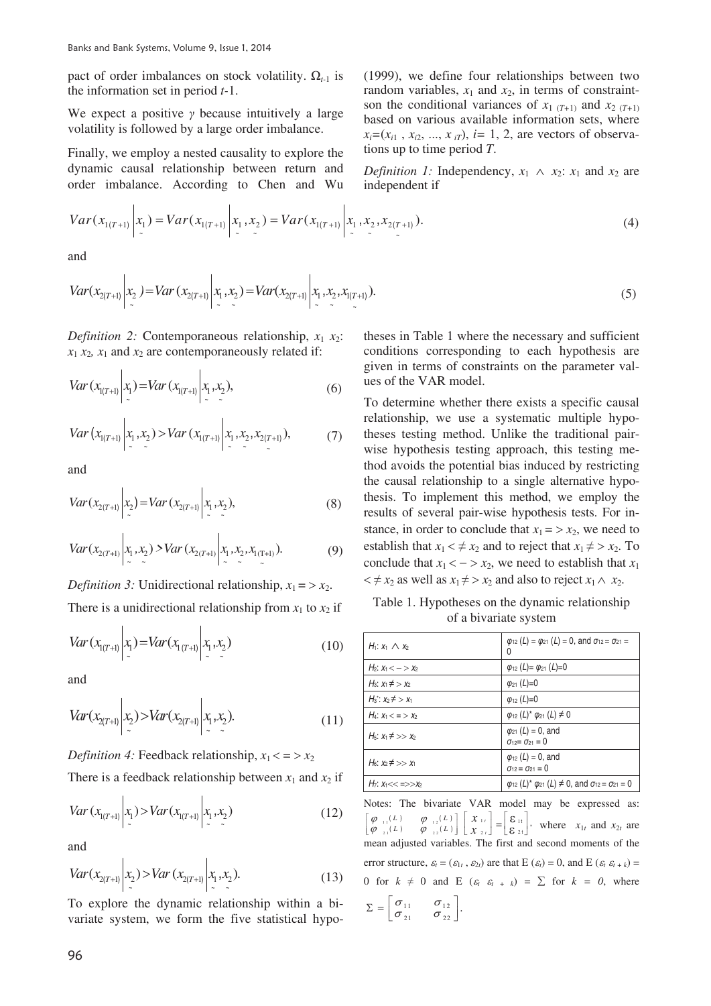pact of order imbalances on stock volatility.  $\Omega_{t-1}$  is the information set in period *t-*1.

We expect a positive  $\gamma$  because intuitively a large volatility is followed by a large order imbalance.

Finally, we employ a nested causality to explore the dynamic causal relationship between return and order imbalance. According to Chen and Wu (1999), we define four relationships between two random variables,  $x_1$  and  $x_2$ , in terms of constraintson the conditional variances of  $x_1$  ( $T+1$ ) and  $x_2$  ( $T+1$ ) based on various available information sets, where  $x_i = (x_{i1}, x_{i2}, \ldots, x_{iT})$ ,  $i = 1, 2$ , are vectors of observations up to time period *T*.

*Definition 1:* Independency,  $x_1 \wedge x_2$ :  $x_1$  and  $x_2$  are independent if

$$
Var(x_{1(T+1)} | x_1) = Var(x_{1(T+1)} | x_1, x_2) = Var(x_{1(T+1)} | x_1, x_2, x_{2(T+1)}).
$$
\n(4)

and

$$
Var(x_{2(T+1)} | x_2) = Var(x_{2(T+1)} | x_1, x_2) = Var(x_{2(T+1)} | x_1, x_2, x_{1(T+1)}).
$$
\n(5)

*Definition 2:* Contemporaneous relationship,  $x_1 x_2$ :  $x_1 x_2, x_1$  and  $x_2$  are contemporaneously related if:

$$
Var(x_{1(T+1)} | x_1) = Var(x_{1(T+1)} | x_1, x_2),
$$
\n(6)

$$
Var(x_{1(T+1)} | x_1, x_2) > Var(x_{1(T+1)} | x_1, x_2, x_{2(T+1)}),
$$
\n(7)

and

$$
Var(x_{2(T+1)} | x_2) = Var(x_{2(T+1)} | x_1, x_2),
$$
\n(8)

$$
Var(x_{2(T+1)} | x_1, x_2) > Var(x_{2(T+1)} | x_1, x_2, x_{1(T+1)}).
$$
 (9)

*Definition 3:* Unidirectional relationship,  $x_1 = \frac{1}{2}x_2$ . There is a unidirectional relationship from  $x_1$  to  $x_2$  if

 $\sim$ 

$$
Var(x_{1(T+1)} | x_1) = Var(x_{1(T+1)} | x_1, x_2)
$$
\n(10)

and

 $\ddot{\phantom{a}}$ 

$$
Var(x_{2(T+1)} | x_2) > Var(x_{2(T+1)} | x_1, x_2).
$$
 (11)

*Definition 4:* Feedback relationship,  $x_1 < = \frac{1}{2}$ 

There is a feedback relationship between  $x_1$  and  $x_2$  if

$$
Var(x_{1(T+1)} | x_1) > Var(x_{1(T+1)} | x_1, x_2)
$$
\n(12)

and

$$
Var(x_{2(T+1)} | x_2) > Var(x_{2(T+1)} | x_1, x_2).
$$
 (13)

To explore the dynamic relationship within a bivariate system, we form the five statistical hypo-

theses in Table 1 where the necessary and sufficient conditions corresponding to each hypothesis are given in terms of constraints on the parameter values of the VAR model.

To determine whether there exists a specific causal relationship, we use a systematic multiple hypotheses testing method. Unlike the traditional pairwise hypothesis testing approach, this testing method avoids the potential bias induced by restricting the causal relationship to a single alternative hypothesis. To implement this method, we employ the results of several pair-wise hypothesis tests. For instance, in order to conclude that  $x_1 = \frac{1}{2}$ , we need to establish that  $x_1 < \neq x_2$  and to reject that  $x_1 \neq x_2$ . To conclude that  $x_1 < -\frac{1}{2}x_2$ , we need to establish that  $x_1$  $\lt t \neq x_2$  as well as  $x_1 \neq x_2$  and also to reject  $x_1 \wedge x_2$ .

Table 1. Hypotheses on the dynamic relationship of a bivariate system

| $H_1: x_1 \wedge x_2$                 | $\varphi_{12}$ (L) = $\varphi_{21}$ (L) = 0, and $\sigma_{12} = \sigma_{21}$ =<br>0  |
|---------------------------------------|--------------------------------------------------------------------------------------|
| $H_2: X_1 < - > X_2$                  | $\varphi_{12} (L) = \varphi_{21} (L) = 0$                                            |
| $H_3: x_1 \neq x_2$                   | $\varphi_{21} (L)=0$                                                                 |
| $H_3$ : $x_2 \neq x_1$                | $\varphi_{12}$ (L)=0                                                                 |
| $H_4$ : $X_1 < = > X_2$               | $\varphi_{12} (L)^* \varphi_{21} (L) \neq 0$                                         |
| $H_5$ : $X_1 \neq >> X_2$             | $\varphi_{21} (L) = 0$ , and<br>$\sigma_{12} = \sigma_{21} = 0$                      |
| H <sub>6</sub> : $x_2 \neq y_2$ $x_1$ | $\varphi_{12} (L) = 0$ , and<br>$\sigma_{12} = \sigma_{21} = 0$                      |
| $H_7: X_1 << \Rightarrow X_2$         | $\varphi_{12}$ (L)* $\varphi_{21}$ (L) $\neq$ 0, and $\sigma_{12} = \sigma_{21} = 0$ |

Notes: The bivariate VAR model may be expressed as:  $_{11}(L)$   $\phi$ <sub>12</sub>(L)  $\left[\begin{array}{cc} \varphi & \cdots \\ \varphi & \frac{1}{21} \end{array}(L) \right]$  $\left|\begin{array}{cc} \varphi_{-11}(L) & \varphi_{-12}(L) \\ \varphi_{-1}(L) & \varphi_{-12}(L) \end{array}\right|$  $\left| \varphi_{\perp} (L) \varphi_{\perp} (L) \right|$  $\left[ \begin{array}{cc} \nu & \psi & \frac{1}{2} \\ L & \nu & \psi & \frac{1}{2} \\ \end{array} \right] \left[ \begin{array}{cc} \nu & \frac{1}{2} \\ X & \frac{1}{2} \\ \end{array} \right]$  $\begin{bmatrix} x_{\scriptscriptstyle 1t} \ x_{\scriptscriptstyle 2t} \end{bmatrix}$ ª *x x t t* 2  $\begin{vmatrix} 1t \\ 2t \end{vmatrix} = \begin{vmatrix} 6 & 1 \\ 2 & 1 \end{vmatrix}$  $\begin{bmatrix} 1t \\ 2t \end{bmatrix}$ t  $\left[ \begin{smallmatrix} {\mathbf{\mathcal{E}}}\,_{1\mathrm{t}}\ {\mathbf{\mathcal{E}}}\,_{2\mathrm{t}} \end{smallmatrix} \right]$  $\left[\sum_{2t}^{H} x_i\right]$ , where  $x_{1t}$  and  $x_{2t}$  are mean adjusted variables. The first and second moments of the error structure,  $\varepsilon_t = (\varepsilon_{1t}, \varepsilon_{2t})$  are that E  $(\varepsilon_t) = 0$ , and E  $(\varepsilon_t \varepsilon_{t+k}) =$ 0 for  $k \neq 0$  and  $E$   $(\varepsilon_t \varepsilon_{t+1}) = \sum$  for  $k = 0$ , where

$$
\Sigma = \begin{bmatrix} \sigma_{11} & \sigma_{12} \\ \sigma_{21} & \sigma_{22} \end{bmatrix}
$$

.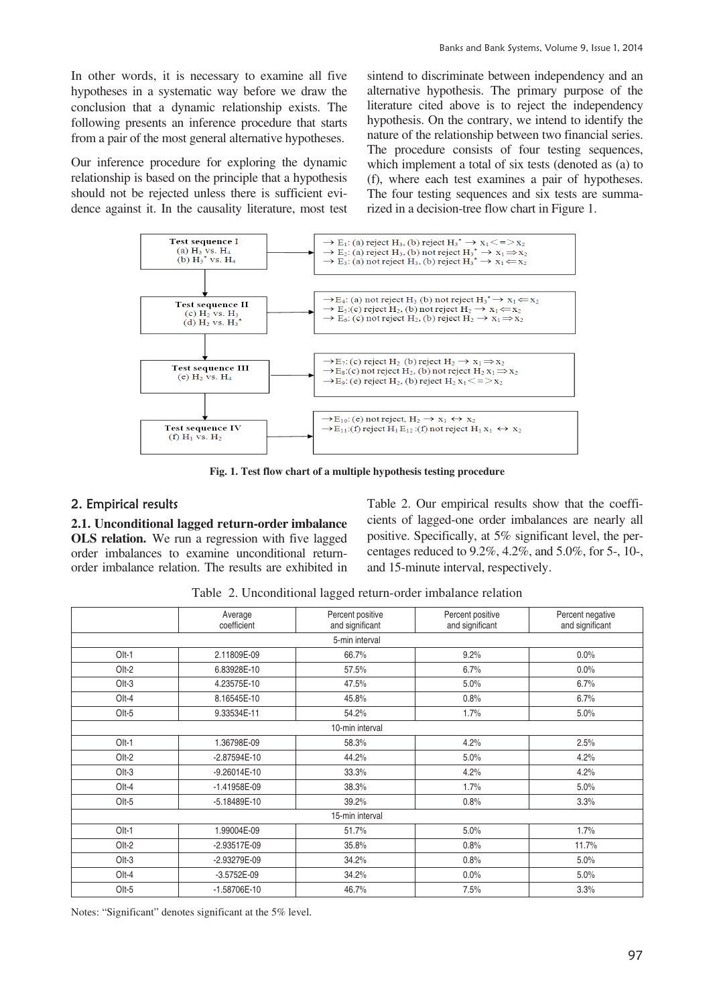In other words, it is necessary to examine all five hypotheses in a systematic way before we draw the conclusion that a dynamic relationship exists. The following presents an inference procedure that starts from a pair of the most general alternative hypotheses.

Our inference procedure for exploring the dynamic relationship is based on the principle that a hypothesis should not be rejected unless there is sufficient evidence against it. In the causality literature, most test sintend to discriminate between independency and an alternative hypothesis. The primary purpose of the literature cited above is to reject the independency hypothesis. On the contrary, we intend to identify the nature of the relationship between two financial series. The procedure consists of four testing sequences, which implement a total of six tests (denoted as (a) to (f), where each test examines a pair of hypotheses. The four testing sequences and six tests are summarized in a decision-tree flow chart in Figure 1.



**Fig. 1. Test flow chart of a multiple hypothesis testing procedure** 

# 2. Empirical results

**2.1. Unconditional lagged return-order imbalance OLS relation.** We run a regression with five lagged order imbalances to examine unconditional returnorder imbalance relation. The results are exhibited in Table 2. Our empirical results show that the coefficients of lagged-one order imbalances are nearly all positive. Specifically, at 5% significant level, the percentages reduced to 9.2%, 4.2%, and 5.0%, for 5-, 10-, and 15-minute interval, respectively.

Table 2. Unconditional lagged return-order imbalance relation

|         | Average<br>coefficient | Percent positive<br>and significant | Percent positive<br>and significant | Percent negative<br>and significant |  |
|---------|------------------------|-------------------------------------|-------------------------------------|-------------------------------------|--|
|         |                        | 5-min interval                      |                                     |                                     |  |
| $Olt-1$ | 2.11809E-09            | 66.7%                               | 9.2%                                | $0.0\%$                             |  |
| Olt-2   | 6.83928E-10            | 57.5%                               | 6.7%                                | $0.0\%$                             |  |
| $Olt-3$ | 4.23575E-10            | 47.5%                               | 5.0%                                | 6.7%                                |  |
| $Olt-4$ | 8.16545E-10            | 45.8%                               | 0.8%                                | 6.7%                                |  |
| $Olt-5$ | 9.33534E-11            | 54.2%                               | 1.7%                                | 5.0%                                |  |
|         |                        | 10-min interval                     |                                     |                                     |  |
| $Olt-1$ | 1.36798E-09            | 58.3%                               | 4.2%                                | 2.5%                                |  |
| $Olt-2$ | $-2.87594E-10$         | 44.2%                               | 5.0%                                | 4.2%                                |  |
| $Olt-3$ | $-9.26014E-10$         | 33.3%                               | 4.2%                                | 4.2%                                |  |
| $Olt-4$ | $-1.41958E-09$         | 38.3%                               | 1.7%                                | 5.0%                                |  |
| $Olt-5$ | $-5.18489E-10$         | 39.2%                               | 0.8%                                | 3.3%                                |  |
|         | 15-min interval        |                                     |                                     |                                     |  |
| $Olt-1$ | 1.99004E-09            | 51.7%                               | 5.0%                                | 1.7%                                |  |
| Olt-2   | $-2.93517E-09$         | 35.8%                               | 0.8%                                | 11.7%                               |  |
| $Olt-3$ | -2.93279E-09           | 34.2%                               | 0.8%                                | 5.0%                                |  |
| Olt-4   | $-3.5752E-09$          | 34.2%                               | 0.0%                                | 5.0%                                |  |
| $Olt-5$ | $-1.58706E-10$         | 46.7%                               | 7.5%                                | 3.3%                                |  |

Notes: "Significant" denotes significant at the 5% level.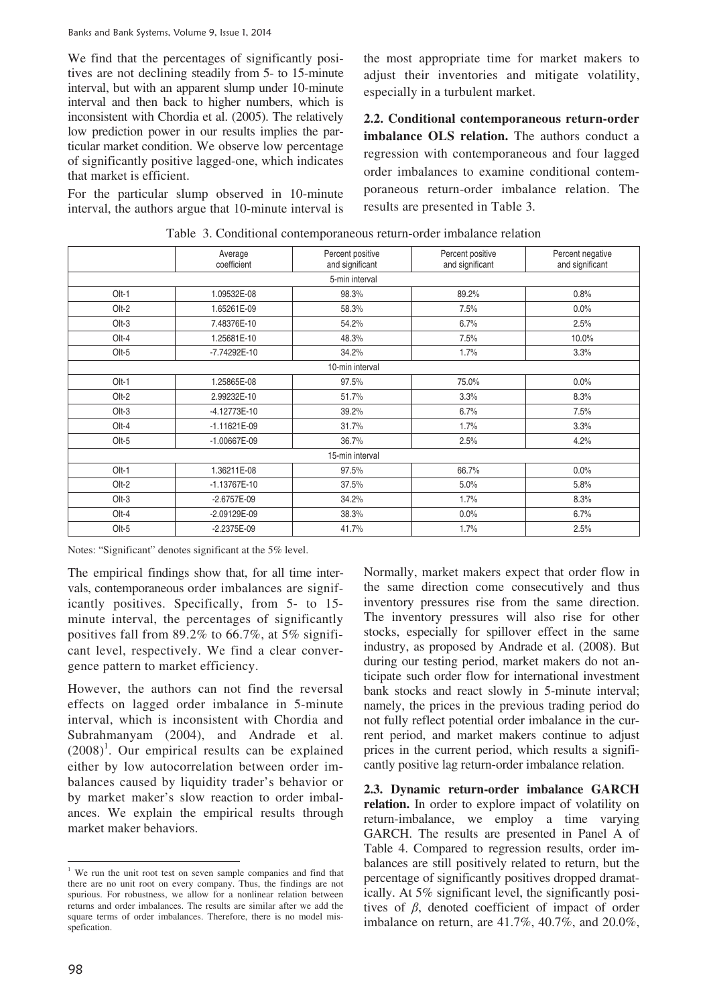We find that the percentages of significantly positives are not declining steadily from 5- to 15-minute interval, but with an apparent slump under 10-minute interval and then back to higher numbers, which is inconsistent with Chordia et al. (2005). The relatively low prediction power in our results implies the particular market condition. We observe low percentage of significantly positive lagged-one, which indicates that market is efficient.

For the particular slump observed in 10-minute interval, the authors argue that 10-minute interval is

the most appropriate time for market makers to adjust their inventories and mitigate volatility, especially in a turbulent market.

**2.2. Conditional contemporaneous return-order imbalance OLS relation.** The authors conduct a regression with contemporaneous and four lagged order imbalances to examine conditional contemporaneous return-order imbalance relation. The results are presented in Table 3.

|          | Average<br>coefficient | Percent positive<br>and significant | Percent positive<br>and significant | Percent negative<br>and significant |
|----------|------------------------|-------------------------------------|-------------------------------------|-------------------------------------|
|          |                        | 5-min interval                      |                                     |                                     |
| $Olt-1$  | 1.09532E-08            | 98.3%                               | 89.2%                               | 0.8%                                |
| $Olt-2$  | 1.65261E-09            | 58.3%                               | 7.5%                                | 0.0%                                |
| $Olt-3$  | 7.48376E-10            | 54.2%                               | 6.7%                                | 2.5%                                |
| $O1 - 4$ | 1.25681E-10            | 48.3%                               | 7.5%                                | 10.0%                               |
| $Olt-5$  | -7.74292E-10           | 34.2%                               | 1.7%                                | 3.3%                                |
|          |                        | 10-min interval                     |                                     |                                     |
| $O1 - 1$ | 1.25865E-08            | 97.5%                               | 75.0%                               | 0.0%                                |
| $Olt-2$  | 2.99232E-10            | 51.7%                               | 3.3%                                | 8.3%                                |
| $Olt-3$  | $-4.12773E-10$         | 39.2%                               | 6.7%                                | 7.5%                                |
| $Olt-4$  | $-1.11621E-09$         | 31.7%                               | 1.7%                                | 3.3%                                |
| $Olt-5$  | $-1.00667E-09$         | 36.7%                               | 2.5%                                | 4.2%                                |
|          |                        | 15-min interval                     |                                     |                                     |
| $O1 - 1$ | 1.36211E-08            | 97.5%                               | 66.7%                               | 0.0%                                |
| $Olt-2$  | $-1.13767E - 10$       | 37.5%                               | 5.0%                                | 5.8%                                |
| $Olt-3$  | $-2.6757E-09$          | 34.2%                               | 1.7%                                | 8.3%                                |
| $O1 - 4$ | -2.09129E-09           | 38.3%                               | $0.0\%$                             | 6.7%                                |
| $Olt-5$  | $-2.2375E-09$          | 41.7%                               | 1.7%                                | 2.5%                                |

Table 3. Conditional contemporaneous return-order imbalance relation

Notes: "Significant" denotes significant at the 5% level.

The empirical findings show that, for all time intervals, contemporaneous order imbalances are significantly positives. Specifically, from 5- to 15 minute interval, the percentages of significantly positives fall from 89.2% to 66.7%, at 5% significant level, respectively. We find a clear convergence pattern to market efficiency.

However, the authors can not find the reversal effects on lagged order imbalance in 5-minute interval, which is inconsistent with Chordia and Subrahmanyam (2004), and Andrade et al.  $(2008)^1$ . Our empirical results can be explained either by low autocorrelation between order imbalances caused by liquidity trader's behavior or by market maker's slow reaction to order imbalances. We explain the empirical results through market maker behaviors.

Normally, market makers expect that order flow in the same direction come consecutively and thus inventory pressures rise from the same direction. The inventory pressures will also rise for other stocks, especially for spillover effect in the same industry, as proposed by Andrade et al. (2008). But during our testing period, market makers do not anticipate such order flow for international investment bank stocks and react slowly in 5-minute interval; namely, the prices in the previous trading period do not fully reflect potential order imbalance in the current period, and market makers continue to adjust prices in the current period, which results a significantly positive lag return-order imbalance relation.

**2.3. Dynamic return-order imbalance GARCH**  relation. In order to explore impact of volatility on return-imbalance, we employ a time varying GARCH. The results are presented in Panel A of Table 4. Compared to regression results, order imbalances are still positively related to return, but the percentage of significantly positives dropped dramatically. At 5% significant level, the significantly positives of  $\beta$ , denoted coefficient of impact of order imbalance on return, are 41.7%, 40.7%, and 20.0%,

 $\overline{a}$ 

<sup>&</sup>lt;sup>1</sup> We run the unit root test on seven sample companies and find that there are no unit root on every company. Thus, the findings are not spurious. For robustness, we allow for a nonlinear relation between returns and order imbalances. The results are similar after we add the square terms of order imbalances. Therefore, there is no model misspefication.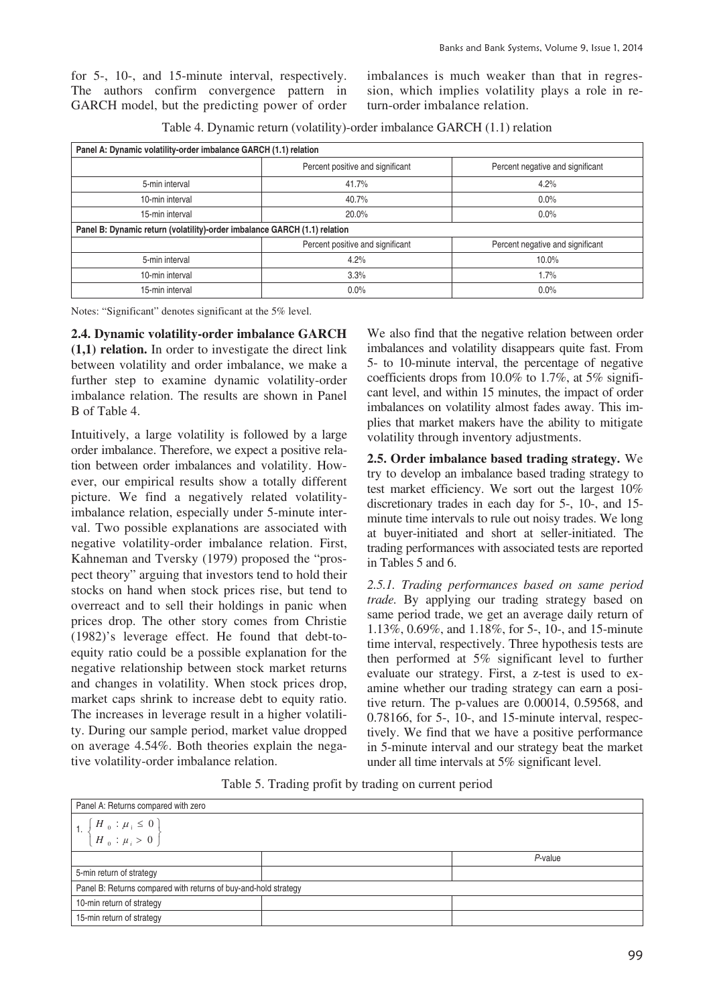for 5-, 10-, and 15-minute interval, respectively. The authors confirm convergence pattern in GARCH model, but the predicting power of order imbalances is much weaker than that in regression, which implies volatility plays a role in return-order imbalance relation.

| Panel A: Dynamic volatility-order imbalance GARCH (1.1) relation          |                                  |                                  |  |  |
|---------------------------------------------------------------------------|----------------------------------|----------------------------------|--|--|
|                                                                           | Percent positive and significant | Percent negative and significant |  |  |
| 5-min interval                                                            | 41.7%                            | 4.2%                             |  |  |
| 10-min interval                                                           | 40.7%                            | $0.0\%$                          |  |  |
| 15-min interval                                                           | 20.0%                            | $0.0\%$                          |  |  |
| Panel B: Dynamic return (volatility)-order imbalance GARCH (1.1) relation |                                  |                                  |  |  |
|                                                                           | Percent positive and significant | Percent negative and significant |  |  |
| 5-min interval                                                            | 4.2%                             | 10.0%                            |  |  |
| 10-min interval                                                           | 3.3%                             | 1.7%                             |  |  |
| 15-min interval                                                           | $0.0\%$                          | $0.0\%$                          |  |  |

Table 4. Dynamic return (volatility)-order imbalance GARCH (1.1) relation

Notes: "Significant" denotes significant at the 5% level.

**2.4. Dynamic volatility-order imbalance GARCH (1,1) relation.** In order to investigate the direct link between volatility and order imbalance, we make a further step to examine dynamic volatility-order imbalance relation. The results are shown in Panel B of Table 4.

Intuitively, a large volatility is followed by a large order imbalance. Therefore, we expect a positive relation between order imbalances and volatility. However, our empirical results show a totally different picture. We find a negatively related volatilityimbalance relation, especially under 5-minute interval. Two possible explanations are associated with negative volatility-order imbalance relation. First, Kahneman and Tversky (1979) proposed the "prospect theory" arguing that investors tend to hold their stocks on hand when stock prices rise, but tend to overreact and to sell their holdings in panic when prices drop. The other story comes from Christie (1982)'s leverage effect. He found that debt-toequity ratio could be a possible explanation for the negative relationship between stock market returns and changes in volatility. When stock prices drop, market caps shrink to increase debt to equity ratio. The increases in leverage result in a higher volatility. During our sample period, market value dropped on average 4.54%. Both theories explain the negative volatility-order imbalance relation.

We also find that the negative relation between order imbalances and volatility disappears quite fast. From 5- to 10-minute interval, the percentage of negative coefficients drops from 10.0% to 1.7%, at 5% significant level, and within 15 minutes, the impact of order imbalances on volatility almost fades away. This implies that market makers have the ability to mitigate volatility through inventory adjustments.

**2.5. Order imbalance based trading strategy.** We try to develop an imbalance based trading strategy to test market efficiency. We sort out the largest 10% discretionary trades in each day for 5-, 10-, and 15 minute time intervals to rule out noisy trades. We long at buyer-initiated and short at seller-initiated. The trading performances with associated tests are reported in Tables 5 and 6.

*2.5.1. Trading performances based on same period trade.* By applying our trading strategy based on same period trade, we get an average daily return of 1.13%, 0.69%, and 1.18%, for 5-, 10-, and 15-minute time interval, respectively. Three hypothesis tests are then performed at 5% significant level to further evaluate our strategy. First, a z-test is used to examine whether our trading strategy can earn a positive return. The p-values are 0.00014, 0.59568, and 0.78166, for 5-, 10-, and 15-minute interval, respectively. We find that we have a positive performance in 5-minute interval and our strategy beat the market under all time intervals at 5% significant level.

Table 5. Trading profit by trading on current period

| Panel A: Returns compared with zero                                                      |  |         |  |
|------------------------------------------------------------------------------------------|--|---------|--|
| 1. $\left\{ \begin{array}{c} H_0 : \mu_i \leq 0 \\ H_0 : \mu_i > 0 \end{array} \right\}$ |  |         |  |
|                                                                                          |  | P-value |  |
| 5-min return of strategy                                                                 |  |         |  |
| Panel B: Returns compared with returns of buy-and-hold strategy                          |  |         |  |
| 10-min return of strategy                                                                |  |         |  |
| 15-min return of strategy                                                                |  |         |  |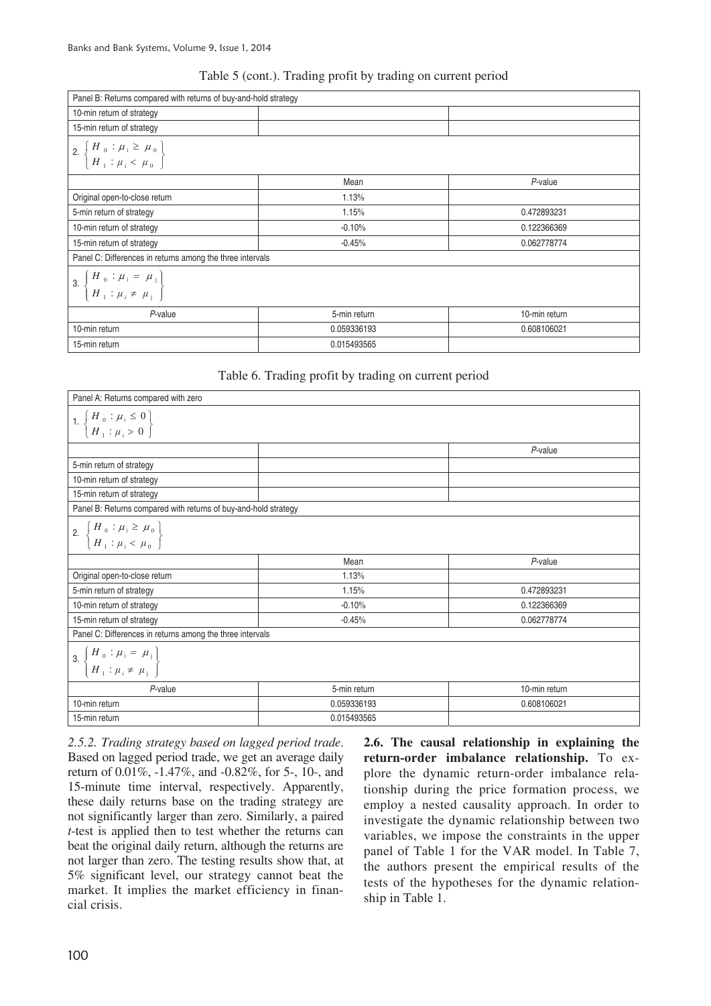## Table 5 (cont.). Trading profit by trading on current period

| Panel B: Returns compared with returns of buy-and-hold strategy                                                      |              |               |
|----------------------------------------------------------------------------------------------------------------------|--------------|---------------|
| 10-min return of strategy                                                                                            |              |               |
| 15-min return of strategy                                                                                            |              |               |
| 2. $\left\{\n \begin{array}{c}\n H_0: \mu_i \geq \mu_0 \\ H_1: \mu_i < \mu_0\n \end{array}\n \right\}$               |              |               |
|                                                                                                                      | Mean         | P-value       |
| Original open-to-close return                                                                                        | 1.13%        |               |
| 5-min return of strategy                                                                                             | 1.15%        | 0.472893231   |
| 10-min return of strategy                                                                                            | $-0.10%$     | 0.122366369   |
| 15-min return of strategy                                                                                            | $-0.45%$     | 0.062778774   |
| Panel C: Differences in returns among the three intervals                                                            |              |               |
| 3. $\left\{\n \begin{array}{c}\n H_{0} : \mu_{i} = \mu_{i} \\ H_{1} : \mu_{i} \neq \mu_{j}\n \end{array}\n \right\}$ |              |               |
| $P$ -value                                                                                                           | 5-min return | 10-min return |
| 10-min return                                                                                                        | 0.059336193  | 0.608106021   |
| 15-min return                                                                                                        | 0.015493565  |               |

#### Table 6. Trading profit by trading on current period

| Panel A: Returns compared with zero                                                                    |              |               |
|--------------------------------------------------------------------------------------------------------|--------------|---------------|
| 1. $\left\{\n \begin{array}{c}\n H_0: \mu_i \leq 0 \\ H_1: \mu_i > 0\n \end{array}\n \right\}$         |              |               |
|                                                                                                        |              | P-value       |
| 5-min return of strategy                                                                               |              |               |
| 10-min return of strategy                                                                              |              |               |
| 15-min return of strategy                                                                              |              |               |
| Panel B: Returns compared with returns of buy-and-hold strategy                                        |              |               |
| 2. $\left\{\n \begin{array}{c}\n H_0: \mu_i \geq \mu_0 \\ H_1: \mu_i < \mu_0\n \end{array}\n \right\}$ |              |               |
|                                                                                                        | Mean         | P-value       |
| Original open-to-close return                                                                          | 1.13%        |               |
| 5-min return of strategy                                                                               | 1.15%        | 0.472893231   |
| 10-min return of strategy                                                                              | $-0.10%$     | 0.122366369   |
| 15-min return of strategy                                                                              | $-0.45%$     | 0.062778774   |
| Panel C: Differences in returns among the three intervals                                              |              |               |
| 3. $\left\{ \begin{aligned} H_0: \mu_i & = \mu_j \\ H_1: \mu_i & \neq \mu_j \end{aligned} \right\}$    |              |               |
| P-value                                                                                                | 5-min return | 10-min return |
| 10-min return                                                                                          | 0.059336193  | 0.608106021   |
| 15-min return                                                                                          | 0.015493565  |               |

*2.5.2. Trading strategy based on lagged period trade*. Based on lagged period trade, we get an average daily return of 0.01%, -1.47%, and -0.82%, for 5-, 10-, and 15-minute time interval, respectively. Apparently, these daily returns base on the trading strategy are not significantly larger than zero. Similarly, a paired *t*-test is applied then to test whether the returns can beat the original daily return, although the returns are not larger than zero. The testing results show that, at 5% significant level, our strategy cannot beat the market. It implies the market efficiency in financial crisis.

**2.6. The causal relationship in explaining the return-order imbalance relationship.** To explore the dynamic return-order imbalance relationship during the price formation process, we employ a nested causality approach. In order to investigate the dynamic relationship between two variables, we impose the constraints in the upper panel of Table 1 for the VAR model. In Table 7, the authors present the empirical results of the tests of the hypotheses for the dynamic relationship in Table 1.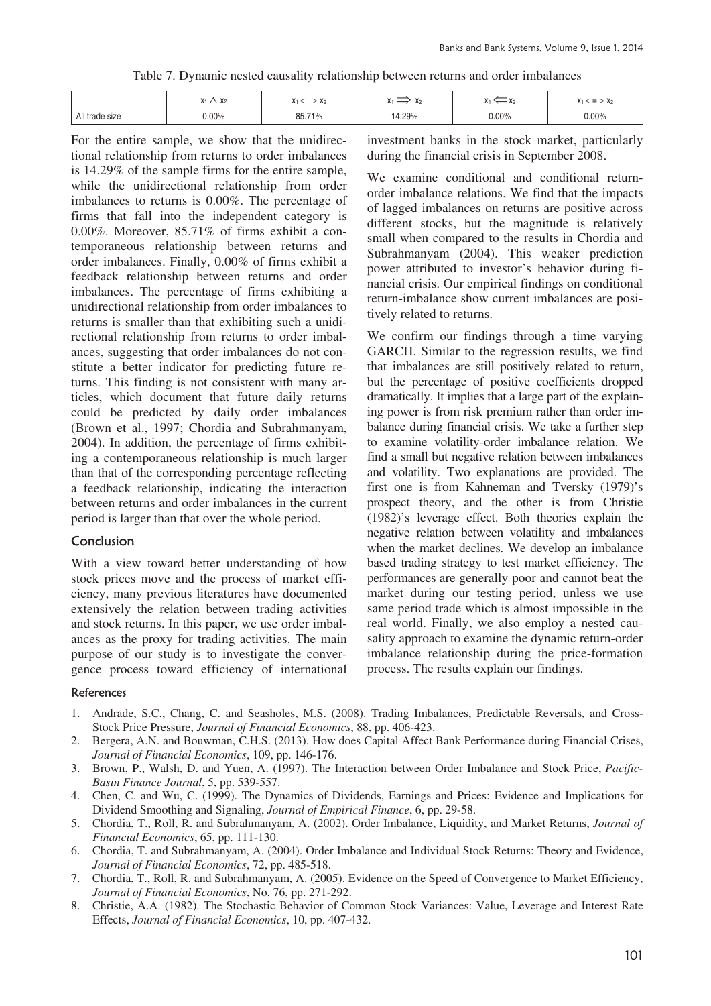| Table 7. Dynamic nested causality relationship between returns and order imbalances |  |  |
|-------------------------------------------------------------------------------------|--|--|
|                                                                                     |  |  |
|                                                                                     |  |  |

|                | $\ddot{\phantom{a}}$<br>$\ddot{\phantom{1}}$<br>. A2<br>$\mathbf{v}$ | $-$<br>A2 | $\cdot$<br>$\mathbf{v}$<br>$\mathbf{r}$ | $\mathbf{r}$ . | -<br>$\mathbf{A}$<br>$\mathbf{r}$ |
|----------------|----------------------------------------------------------------------|-----------|-----------------------------------------|----------------|-----------------------------------|
| All trade size | $0.00\%$                                                             | 85.71%    | 4.29%                                   | $0.00\%$       | 0.00%                             |

For the entire sample, we show that the unidirectional relationship from returns to order imbalances is 14.29% of the sample firms for the entire sample, while the unidirectional relationship from order imbalances to returns is 0.00%. The percentage of firms that fall into the independent category is 0.00%. Moreover, 85.71% of firms exhibit a contemporaneous relationship between returns and order imbalances. Finally, 0.00% of firms exhibit a feedback relationship between returns and order imbalances. The percentage of firms exhibiting a unidirectional relationship from order imbalances to returns is smaller than that exhibiting such a unidirectional relationship from returns to order imbalances, suggesting that order imbalances do not constitute a better indicator for predicting future returns. This finding is not consistent with many articles, which document that future daily returns could be predicted by daily order imbalances (Brown et al., 1997; Chordia and Subrahmanyam, 2004). In addition, the percentage of firms exhibiting a contemporaneous relationship is much larger than that of the corresponding percentage reflecting a feedback relationship, indicating the interaction between returns and order imbalances in the current period is larger than that over the whole period.

#### Conclusion

With a view toward better understanding of how stock prices move and the process of market efficiency, many previous literatures have documented extensively the relation between trading activities and stock returns. In this paper, we use order imbalances as the proxy for trading activities. The main purpose of our study is to investigate the convergence process toward efficiency of international

investment banks in the stock market, particularly during the financial crisis in September 2008.

We examine conditional and conditional returnorder imbalance relations. We find that the impacts of lagged imbalances on returns are positive across different stocks, but the magnitude is relatively small when compared to the results in Chordia and Subrahmanyam (2004). This weaker prediction power attributed to investor's behavior during financial crisis. Our empirical findings on conditional return-imbalance show current imbalances are positively related to returns.

We confirm our findings through a time varying GARCH. Similar to the regression results, we find that imbalances are still positively related to return, but the percentage of positive coefficients dropped dramatically. It implies that a large part of the explaining power is from risk premium rather than order imbalance during financial crisis. We take a further step to examine volatility-order imbalance relation. We find a small but negative relation between imbalances and volatility. Two explanations are provided. The first one is from Kahneman and Tversky (1979)'s prospect theory, and the other is from Christie (1982)'s leverage effect. Both theories explain the negative relation between volatility and imbalances when the market declines. We develop an imbalance based trading strategy to test market efficiency. The performances are generally poor and cannot beat the market during our testing period, unless we use same period trade which is almost impossible in the real world. Finally, we also employ a nested causality approach to examine the dynamic return-order imbalance relationship during the price-formation process. The results explain our findings.

#### References

- 1. Andrade, S.C., Chang, C. and Seasholes, M.S. (2008). Trading Imbalances, Predictable Reversals, and Cross-Stock Price Pressure, *Journal of Financial Economics*, 88, pp. 406-423.
- 2. Bergera, A.N. and Bouwman, C.H.S. (2013). How does Capital Affect Bank Performance during Financial Crises, *Journal of Financial Economics*, 109, pp. 146-176.
- 3. Brown, P., Walsh, D. and Yuen, A. (1997). The Interaction between Order Imbalance and Stock Price, *Pacific-Basin Finance Journal*, 5, pp. 539-557.
- 4. Chen, C. and Wu, C. (1999). The Dynamics of Dividends, Earnings and Prices: Evidence and Implications for Dividend Smoothing and Signaling, *Journal of Empirical Finance*, 6, pp. 29-58.
- 5. Chordia, T., Roll, R. and Subrahmanyam, A. (2002). Order Imbalance, Liquidity, and Market Returns, *Journal of Financial Economics*, 65, pp. 111-130.
- 6. Chordia, T. and Subrahmanyam, A. (2004). Order Imbalance and Individual Stock Returns: Theory and Evidence, *Journal of Financial Economics*, 72, pp. 485-518.
- 7. Chordia, T., Roll, R. and Subrahmanyam, A. (2005). Evidence on the Speed of Convergence to Market Efficiency, *Journal of Financial Economics*, No. 76, pp. 271-292.
- 8. Christie, A.A. (1982). The Stochastic Behavior of Common Stock Variances: Value, Leverage and Interest Rate Effects, *Journal of Financial Economics*, 10, pp. 407-432.